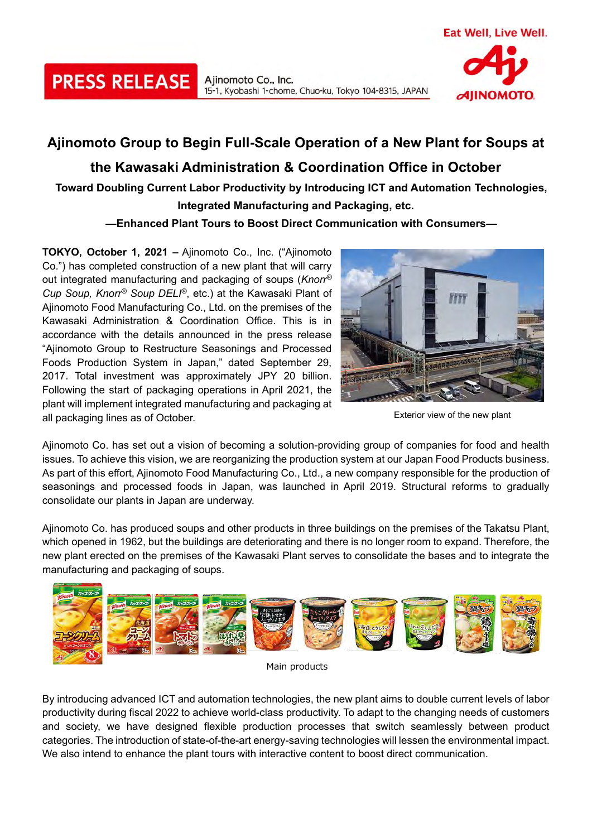

## **Ajinomoto Group to Begin Full-Scale Operation of a New Plant for Soups at the Kawasaki Administration & Coordination Office in October Toward Doubling Current Labor Productivity by Introducing ICT and Automation Technologies, Integrated Manufacturing and Packaging, etc.**

15-1, Kyobashi 1-chome, Chuo-ku, Tokyo 104-8315, JAPAN

Ajinomoto Co., Inc.

## **—Enhanced Plant Tours to Boost Direct Communication with Consumers—**

**TOKYO, October 1, 2021 –** Ajinomoto Co., Inc. ("Ajinomoto Co.") has completed construction of a new plant that will carry out integrated manufacturing and packaging of soups (*Knorr® Cup Soup, Knorr® Soup DELI®*, etc.) at the Kawasaki Plant of Ajinomoto Food Manufacturing Co., Ltd. on the premises of the Kawasaki Administration & Coordination Office. This is in accordance with the details announced in the press release "Ajinomoto Group to Restructure Seasonings and Processed Foods Production System in Japan," dated September 29, 2017. Total investment was approximately JPY 20 billion. Following the start of packaging operations in April 2021, the plant will implement integrated manufacturing and packaging at all packaging lines as of October.

**PRESS RELEASE** 



Exterior view of the new plant

Ajinomoto Co. has set out a vision of becoming a solution-providing group of companies for food and health issues. To achieve this vision, we are reorganizing the production system at our Japan Food Products business. As part of this effort, Ajinomoto Food Manufacturing Co., Ltd., a new company responsible for the production of seasonings and processed foods in Japan, was launched in April 2019. Structural reforms to gradually consolidate our plants in Japan are underway.

Ajinomoto Co. has produced soups and other products in three buildings on the premises of the Takatsu Plant, which opened in 1962, but the buildings are deteriorating and there is no longer room to expand. Therefore, the new plant erected on the premises of the Kawasaki Plant serves to consolidate the bases and to integrate the manufacturing and packaging of soups.



Main products

By introducing advanced ICT and automation technologies, the new plant aims to double current levels of labor productivity during fiscal 2022 to achieve world-class productivity. To adapt to the changing needs of customers and society, we have designed flexible production processes that switch seamlessly between product categories. The introduction of state-of-the-art energy-saving technologies will lessen the environmental impact. We also intend to enhance the plant tours with interactive content to boost direct communication.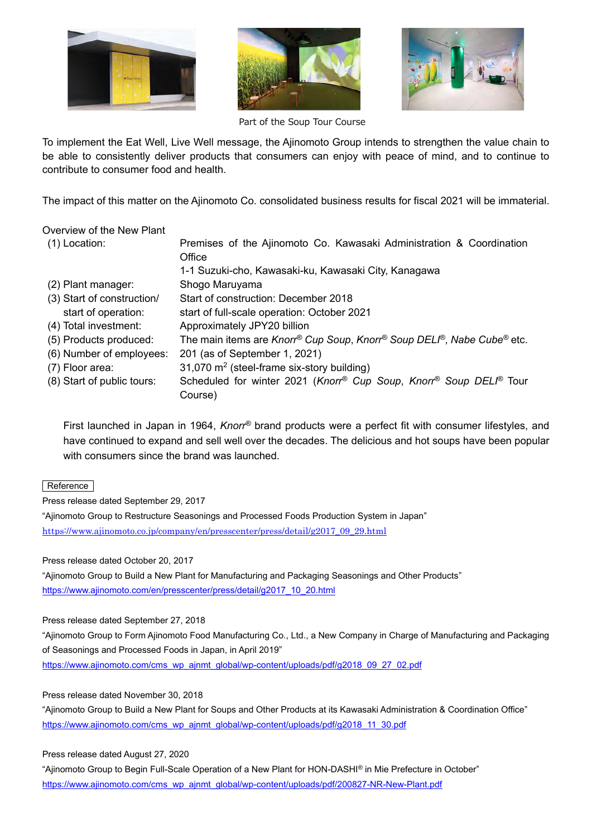





Part of the Soup Tour Course

To implement the Eat Well, Live Well message, the Ajinomoto Group intends to strengthen the value chain to be able to consistently deliver products that consumers can enjoy with peace of mind, and to continue to contribute to consumer food and health.

The impact of this matter on the Ajinomoto Co. consolidated business results for fiscal 2021 will be immaterial.

| Overview of the New Plant  |                                                                        |
|----------------------------|------------------------------------------------------------------------|
| $(1)$ Location:            | Premises of the Ajinomoto Co. Kawasaki Administration & Coordination   |
|                            | Office                                                                 |
|                            | 1-1 Suzuki-cho, Kawasaki-ku, Kawasaki City, Kanagawa                   |
| (2) Plant manager:         | Shogo Maruyama                                                         |
| (3) Start of construction/ | Start of construction: December 2018                                   |
| start of operation:        | start of full-scale operation: October 2021                            |
| (4) Total investment:      | Approximately JPY20 billion                                            |
| (5) Products produced:     | The main items are Knorr® Cup Soup, Knorr® Soup DELI®, Nabe Cube® etc. |
| (6) Number of employees:   | 201 (as of September 1, 2021)                                          |
| (7) Floor area:            | 31,070 m <sup>2</sup> (steel-frame six-story building)                 |
| (8) Start of public tours: | Scheduled for winter 2021 (Knorr® Cup Soup, Knorr® Soup DELI® Tour     |
|                            | Course)                                                                |

First launched in Japan in 1964, *Knorr®* brand products were a perfect fit with consumer lifestyles, and have continued to expand and sell well over the decades. The delicious and hot soups have been popular with consumers since the brand was launched.

Reference

Press release dated September 29, 2017

"Ajinomoto Group to Restructure Seasonings and Processed Foods Production System in Japan" [https://www.ajinomoto.co.jp/company/en/presscenter/press/detail/g2017\\_09\\_29.html](https://www.ajinomoto.co.jp/company/en/presscenter/press/detail/g2017_09_29.html)

Press release dated October 20, 2017

"Ajinomoto Group to Build a New Plant for Manufacturing and Packaging Seasonings and Other Products" [https://www.ajinomoto.com/en/presscenter/press/detail/g2017\\_10\\_20.html](https://www.ajinomoto.com/en/presscenter/press/detail/g2017_10_20.html)

Press release dated September 27, 2018

"Ajinomoto Group to Form Ajinomoto Food Manufacturing Co., Ltd., a New Company in Charge of Manufacturing and Packaging of Seasonings and Processed Foods in Japan, in April 2019" [https://www.ajinomoto.com/cms\\_wp\\_ajnmt\\_global/wp-content/uploads/pdf/g2018\\_09\\_27\\_02.pdf](https://www.ajinomoto.com/cms_wp_ajnmt_global/wp-content/uploads/pdf/g2018_09_27_02.pdf)

Press release dated November 30, 2018

"Ajinomoto Group to Build a New Plant for Soups and Other Products at its Kawasaki Administration & Coordination Office" [https://www.ajinomoto.com/cms\\_wp\\_ajnmt\\_global/wp-content/uploads/pdf/g2018\\_11\\_30.pdf](https://www.ajinomoto.com/cms_wp_ajnmt_global/wp-content/uploads/pdf/g2018_11_30.pdf)

Press release dated August 27, 2020

"Ajinomoto Group to Begin Full-Scale Operation of a New Plant for HON-DASHI*®* in Mie Prefecture in October" [https://www.ajinomoto.com/cms\\_wp\\_ajnmt\\_global/wp-content/uploads/pdf/200827-NR-New-Plant.pdf](https://www.ajinomoto.com/cms_wp_ajnmt_global/wp-content/uploads/pdf/200827-NR-New-Plant.pdf)